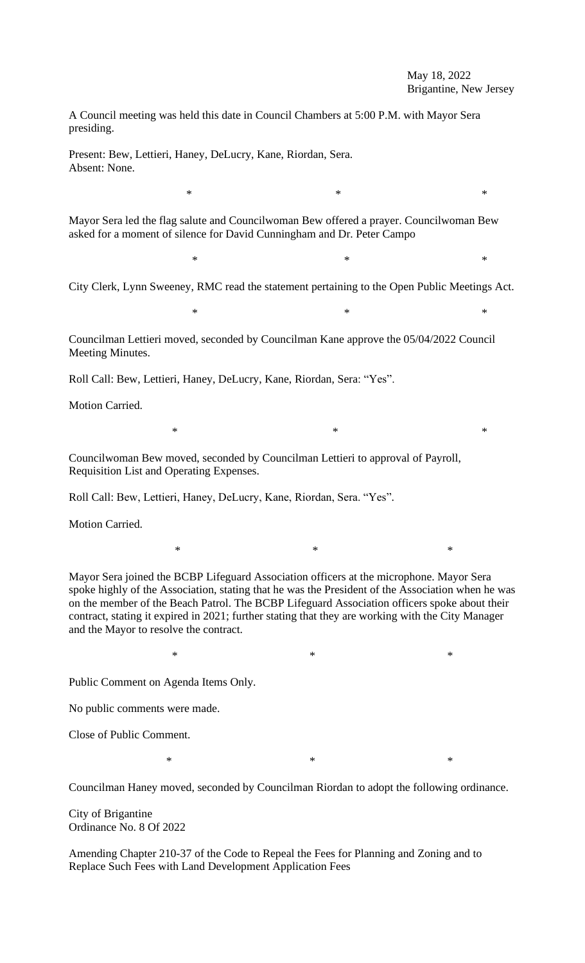## May 18, 2022 Brigantine, New Jersey

A Council meeting was held this date in Council Chambers at 5:00 P.M. with Mayor Sera presiding.

Present: Bew, Lettieri, Haney, DeLucry, Kane, Riordan, Sera. Absent: None.

Mayor Sera led the flag salute and Councilwoman Bew offered a prayer. Councilwoman Bew asked for a moment of silence for David Cunningham and Dr. Peter Campo

 $*$  \*

City Clerk, Lynn Sweeney, RMC read the statement pertaining to the Open Public Meetings Act.

 $*$   $*$ 

 $*$   $*$ 

 $*$   $*$ 

Councilman Lettieri moved, seconded by Councilman Kane approve the 05/04/2022 Council Meeting Minutes.

Roll Call: Bew, Lettieri, Haney, DeLucry, Kane, Riordan, Sera: "Yes".

Motion Carried.

Councilwoman Bew moved, seconded by Councilman Lettieri to approval of Payroll, Requisition List and Operating Expenses.

Roll Call: Bew, Lettieri, Haney, DeLucry, Kane, Riordan, Sera. "Yes".

Motion Carried.

Mayor Sera joined the BCBP Lifeguard Association officers at the microphone. Mayor Sera spoke highly of the Association, stating that he was the President of the Association when he was on the member of the Beach Patrol. The BCBP Lifeguard Association officers spoke about their contract, stating it expired in 2021; further stating that they are working with the City Manager and the Mayor to resolve the contract.

 $*$   $*$ 

 $*$   $*$ 

Public Comment on Agenda Items Only.

No public comments were made.

Close of Public Comment.

 $*$  \*

Councilman Haney moved, seconded by Councilman Riordan to adopt the following ordinance.

City of Brigantine Ordinance No. 8 Of 2022

Amending Chapter 210-37 of the Code to Repeal the Fees for Planning and Zoning and to Replace Such Fees with Land Development Application Fees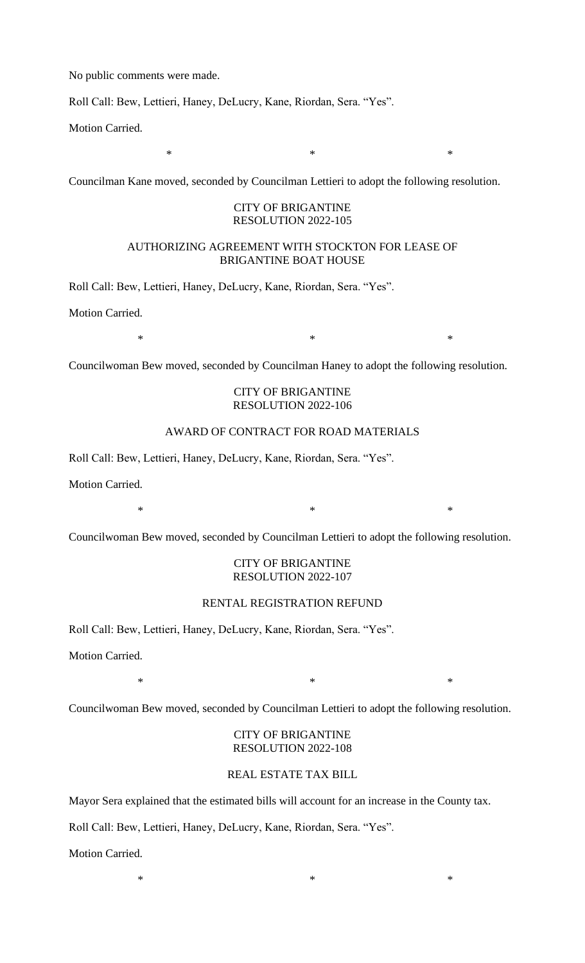No public comments were made.

Roll Call: Bew, Lettieri, Haney, DeLucry, Kane, Riordan, Sera. "Yes".

Motion Carried.

Councilman Kane moved, seconded by Councilman Lettieri to adopt the following resolution.

#### CITY OF BRIGANTINE RESOLUTION 2022-105

 $*$   $*$ 

## AUTHORIZING AGREEMENT WITH STOCKTON FOR LEASE OF BRIGANTINE BOAT HOUSE

Roll Call: Bew, Lettieri, Haney, DeLucry, Kane, Riordan, Sera. "Yes".

Motion Carried.

 $*$   $*$ 

Councilwoman Bew moved, seconded by Councilman Haney to adopt the following resolution.

# CITY OF BRIGANTINE RESOLUTION 2022-106

# AWARD OF CONTRACT FOR ROAD MATERIALS

Roll Call: Bew, Lettieri, Haney, DeLucry, Kane, Riordan, Sera. "Yes".

Motion Carried.

Councilwoman Bew moved, seconded by Councilman Lettieri to adopt the following resolution.

 $*$   $*$ 

### CITY OF BRIGANTINE RESOLUTION 2022-107

### RENTAL REGISTRATION REFUND

Roll Call: Bew, Lettieri, Haney, DeLucry, Kane, Riordan, Sera. "Yes".

Motion Carried.

 $*$   $*$ 

Councilwoman Bew moved, seconded by Councilman Lettieri to adopt the following resolution.

## CITY OF BRIGANTINE RESOLUTION 2022-108

# REAL ESTATE TAX BILL

 $*$   $*$ 

Mayor Sera explained that the estimated bills will account for an increase in the County tax.

Roll Call: Bew, Lettieri, Haney, DeLucry, Kane, Riordan, Sera. "Yes".

Motion Carried.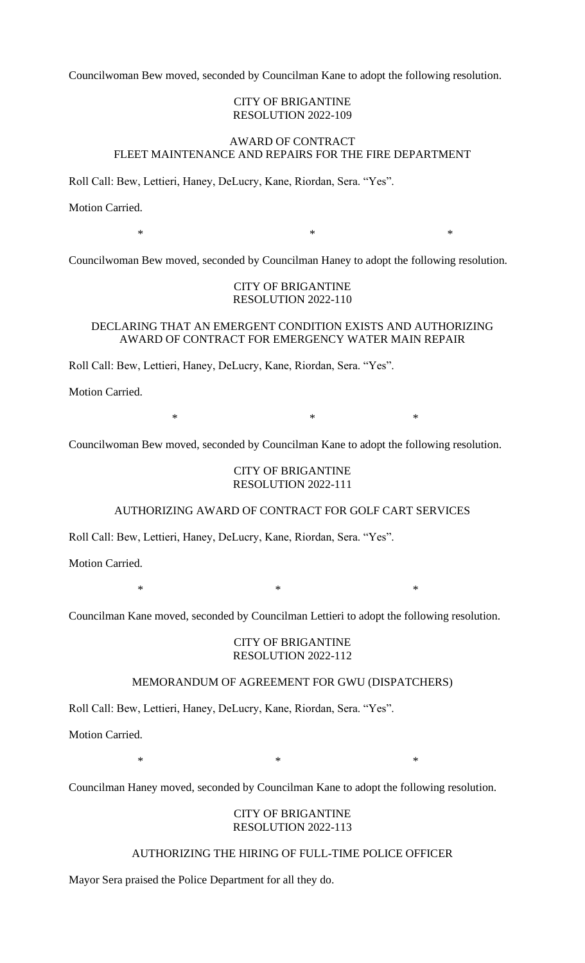Councilwoman Bew moved, seconded by Councilman Kane to adopt the following resolution.

#### CITY OF BRIGANTINE RESOLUTION 2022-109

# AWARD OF CONTRACT FLEET MAINTENANCE AND REPAIRS FOR THE FIRE DEPARTMENT

Roll Call: Bew, Lettieri, Haney, DeLucry, Kane, Riordan, Sera. "Yes".

Motion Carried.

 $*$   $*$ 

Councilwoman Bew moved, seconded by Councilman Haney to adopt the following resolution.

# CITY OF BRIGANTINE RESOLUTION 2022-110

### DECLARING THAT AN EMERGENT CONDITION EXISTS AND AUTHORIZING AWARD OF CONTRACT FOR EMERGENCY WATER MAIN REPAIR

Roll Call: Bew, Lettieri, Haney, DeLucry, Kane, Riordan, Sera. "Yes".

Motion Carried.

 $*$   $*$ 

Councilwoman Bew moved, seconded by Councilman Kane to adopt the following resolution.

#### CITY OF BRIGANTINE RESOLUTION 2022-111

#### AUTHORIZING AWARD OF CONTRACT FOR GOLF CART SERVICES

Roll Call: Bew, Lettieri, Haney, DeLucry, Kane, Riordan, Sera. "Yes".

Motion Carried.

 $*$   $*$ 

Councilman Kane moved, seconded by Councilman Lettieri to adopt the following resolution.

# CITY OF BRIGANTINE RESOLUTION 2022-112

## MEMORANDUM OF AGREEMENT FOR GWU (DISPATCHERS)

Roll Call: Bew, Lettieri, Haney, DeLucry, Kane, Riordan, Sera. "Yes".

Motion Carried.

 $*$   $*$ 

Councilman Haney moved, seconded by Councilman Kane to adopt the following resolution.

# CITY OF BRIGANTINE RESOLUTION 2022-113

# AUTHORIZING THE HIRING OF FULL-TIME POLICE OFFICER

Mayor Sera praised the Police Department for all they do.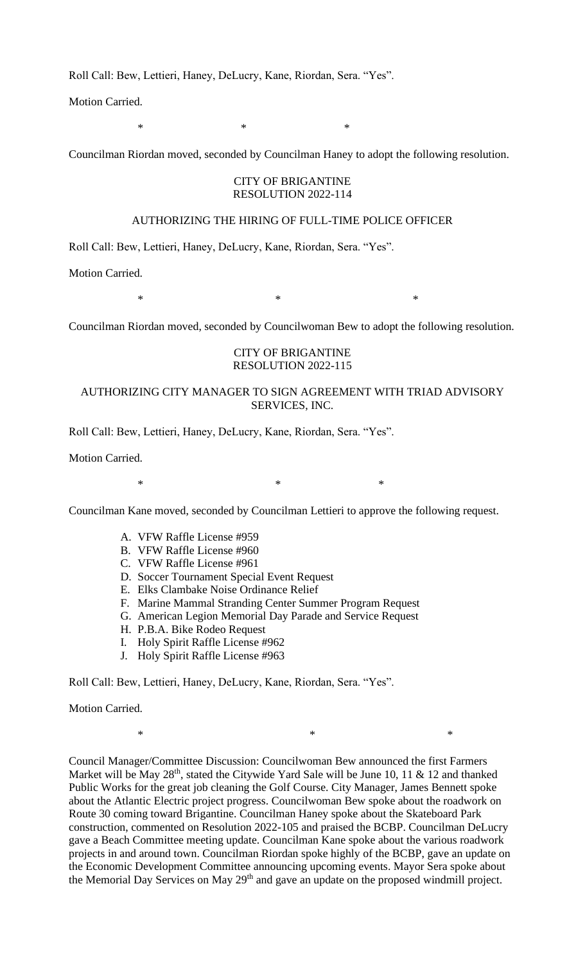Roll Call: Bew, Lettieri, Haney, DeLucry, Kane, Riordan, Sera. "Yes".

Motion Carried.

 $*$   $*$   $*$ 

Councilman Riordan moved, seconded by Councilman Haney to adopt the following resolution.

#### CITY OF BRIGANTINE RESOLUTION 2022-114

#### AUTHORIZING THE HIRING OF FULL-TIME POLICE OFFICER

Roll Call: Bew, Lettieri, Haney, DeLucry, Kane, Riordan, Sera. "Yes".

Motion Carried.

 $*$   $*$ 

Councilman Riordan moved, seconded by Councilwoman Bew to adopt the following resolution.

## CITY OF BRIGANTINE RESOLUTION 2022-115

# AUTHORIZING CITY MANAGER TO SIGN AGREEMENT WITH TRIAD ADVISORY SERVICES, INC.

Roll Call: Bew, Lettieri, Haney, DeLucry, Kane, Riordan, Sera. "Yes".

Motion Carried.

 $*$   $*$ 

Councilman Kane moved, seconded by Councilman Lettieri to approve the following request.

- A. VFW Raffle License #959
- B. VFW Raffle License #960
- C. VFW Raffle License #961
- D. Soccer Tournament Special Event Request
- E. Elks Clambake Noise Ordinance Relief
- F. Marine Mammal Stranding Center Summer Program Request
- G. American Legion Memorial Day Parade and Service Request
- H. P.B.A. Bike Rodeo Request
- I. Holy Spirit Raffle License #962
- J. Holy Spirit Raffle License #963

Roll Call: Bew, Lettieri, Haney, DeLucry, Kane, Riordan, Sera. "Yes".

Motion Carried.

 $*$   $*$ 

Council Manager/Committee Discussion: Councilwoman Bew announced the first Farmers Market will be May  $28<sup>th</sup>$ , stated the Citywide Yard Sale will be June 10, 11 & 12 and thanked Public Works for the great job cleaning the Golf Course. City Manager, James Bennett spoke about the Atlantic Electric project progress. Councilwoman Bew spoke about the roadwork on Route 30 coming toward Brigantine. Councilman Haney spoke about the Skateboard Park construction, commented on Resolution 2022-105 and praised the BCBP. Councilman DeLucry gave a Beach Committee meeting update. Councilman Kane spoke about the various roadwork projects in and around town. Councilman Riordan spoke highly of the BCBP, gave an update on the Economic Development Committee announcing upcoming events. Mayor Sera spoke about the Memorial Day Services on May 29<sup>th</sup> and gave an update on the proposed windmill project.